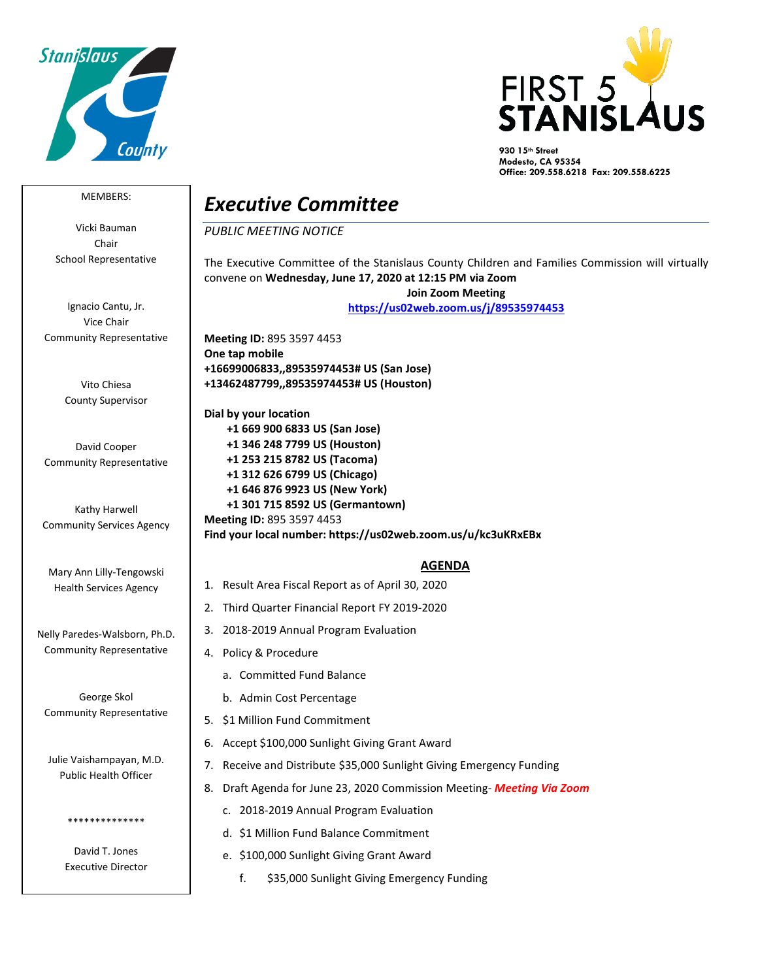



**930 15th Street Modesto, CA 95354 Office: 209.558.6218 Fax: 209.558.6225**

## MEMBERS:

Vicki Bauman Chair School Representative

Ignacio Cantu, Jr. Vice Chair Community Representative

> Vito Chiesa County Supervisor

David Cooper Community Representative

Kathy Harwell Community Services Agency

Mary Ann Lilly-Tengowski Health Services Agency

Nelly Paredes-Walsborn, Ph.D. Community Representative

George Skol Community Representative

Julie Vaishampayan, M.D. Public Health Officer

> David T. Jones Executive Director

\*\*\*\*\*\*\*\*\*\*\*\*\*\*

## *Executive Committee*

## *PUBLIC MEETING NOTICE*

The Executive Committee of the Stanislaus County Children and Families Commission will virtually convene on **Wednesday, June 17, 2020 at 12:15 PM via Zoom Join Zoom Meeting <https://us02web.zoom.us/j/89535974453> Meeting ID:** 895 3597 4453 **One tap mobile +16699006833,,89535974453# US (San Jose) +13462487799,,89535974453# US (Houston) Dial by your location +1 669 900 6833 US (San Jose) +1 346 248 7799 US (Houston) +1 253 215 8782 US (Tacoma) +1 312 626 6799 US (Chicago) +1 646 876 9923 US (New York) +1 301 715 8592 US (Germantown) Meeting ID:** 895 3597 4453

**Find your local number: https://us02web.zoom.us/u/kc3uKRxEBx**

## **AGENDA**

- 1. Result Area Fiscal Report as of April 30, 2020
- 2. Third Quarter Financial Report FY 2019-2020
- 3. 2018-2019 Annual Program Evaluation
- 4. Policy & Procedure
	- a. Committed Fund Balance
	- b. Admin Cost Percentage
- 5. \$1 Million Fund Commitment
- 6. Accept \$100,000 Sunlight Giving Grant Award
- 7. Receive and Distribute \$35,000 Sunlight Giving Emergency Funding
- 8. Draft Agenda for June 23, 2020 Commission Meeting- *Meeting Via Zoom*
	- c. 2018-2019 Annual Program Evaluation
	- d. \$1 Million Fund Balance Commitment
	- e. \$100,000 Sunlight Giving Grant Award
		- f. \$35,000 Sunlight Giving Emergency Funding